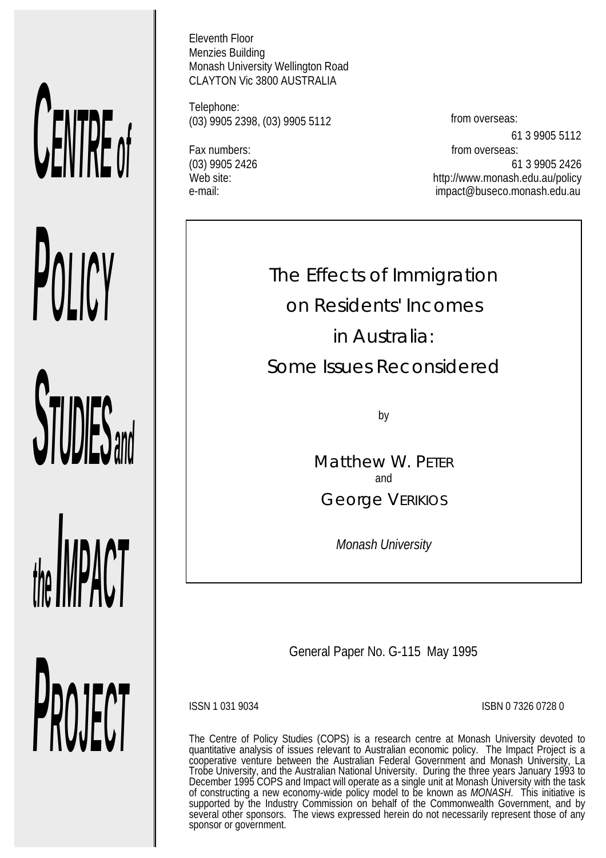# *CENTRE of POLICY*

*the livil time* is

*STUDIES and*

*PROJECT*

Eleventh Floor Menzies Building Monash University Wellington Road CLAYTON Vic 3800 AUSTRALIA

Telephone:  $(03)$  9905 2398, (03) 9905 5112 from overseas:

Fax numbers: Fax numbers: Fax numbers: From overseas:

 61 3 9905 5112 (03) 9905 2426 61 3 9905 2426

Web site:  $W$ eb site:  $W$ e-mail: impact@buseco.monash.edu.au

> The Effects of Immigration on Residents' Incomes in Australia: Some Issues Reconsidered

> > by

Matthew W. PETER and George VERIKIOS

*Monash University*

General Paper No. G-115 May 1995

ISSN 1 031 9034 ISBN 0 7326 0728 0

The Centre of Policy Studies (COPS) is a research centre at Monash University devoted to quantitative analysis of issues relevant to Australian economic policy. The Impact Project is a cooperative venture between the Australian Federal Government and Monash University, La Trobe University, and the Australian National University. During the three years January 1993 to December 1995 COPS and Impact will operate as a single unit at Monash University with the task of constructing a new economy-wide policy model to be known as *MONASH*. This initiative is supported by the Industry Commission on behalf of the Commonwealth Government, and by several other sponsors. The views expressed herein do not necessarily represent those of any sponsor or government.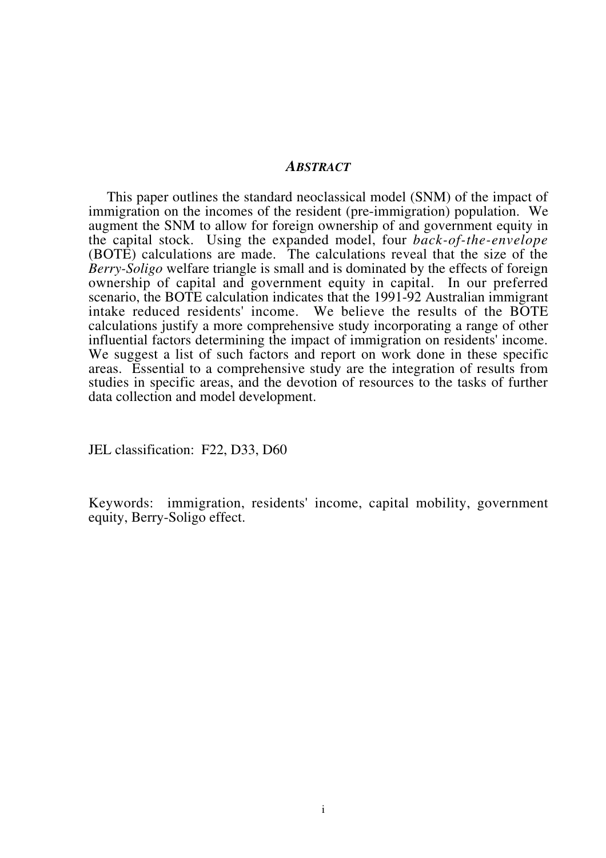# *ABSTRACT*

This paper outlines the standard neoclassical model (SNM) of the impact of immigration on the incomes of the resident (pre-immigration) population. We augment the SNM to allow for foreign ownership of and government equity in the capital stock. Using the expanded model, four *back-of-the-envelope* (BOTE) calculations are made. The calculations reveal that the size of the *Berry-Soligo* welfare triangle is small and is dominated by the effects of foreign ownership of capital and government equity in capital. In our preferred scenario, the BOTE calculation indicates that the 1991-92 Australian immigrant intake reduced residents' income. We believe the results of the BOTE calculations justify a more comprehensive study incorporating a range of other influential factors determining the impact of immigration on residents' income. We suggest a list of such factors and report on work done in these specific areas. Essential to a comprehensive study are the integration of results from studies in specific areas, and the devotion of resources to the tasks of further data collection and model development.

JEL classification: F22, D33, D60

Keywords: immigration, residents' income, capital mobility, government equity, Berry-Soligo effect.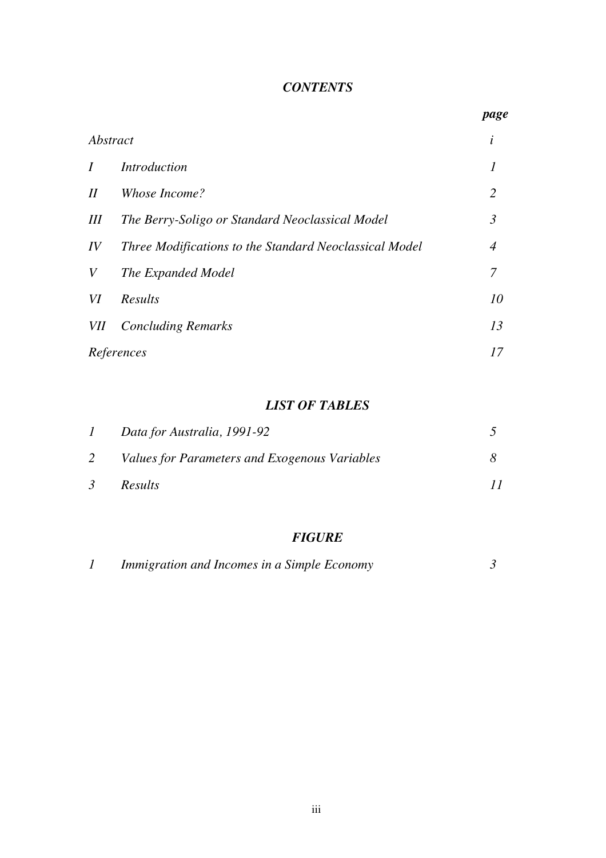# *CONTENTS*

|                |                                                        | page           |
|----------------|--------------------------------------------------------|----------------|
| Abstract       |                                                        |                |
| $\overline{I}$ | <b>Introduction</b>                                    | 1              |
| $\mathcal{I}$  | Whose Income?                                          | $\overline{2}$ |
| Ш              | The Berry-Soligo or Standard Neoclassical Model        | $\mathfrak{Z}$ |
| IV             | Three Modifications to the Standard Neoclassical Model | $\overline{4}$ |
| V              | The Expanded Model                                     | 7              |
| VI             | Results                                                | 10             |
| VII            | <b>Concluding Remarks</b>                              | 13             |
|                | References                                             | 17             |

# *LIST OF TABLES*

| $\mathcal{I}$ | Data for Australia, 1991-92                     |  |
|---------------|-------------------------------------------------|--|
|               | 2 Values for Parameters and Exogenous Variables |  |
| 3             | <i>Results</i>                                  |  |

# *FIGURE*

|  |  | Immigration and Incomes in a Simple Economy |  |
|--|--|---------------------------------------------|--|
|  |  |                                             |  |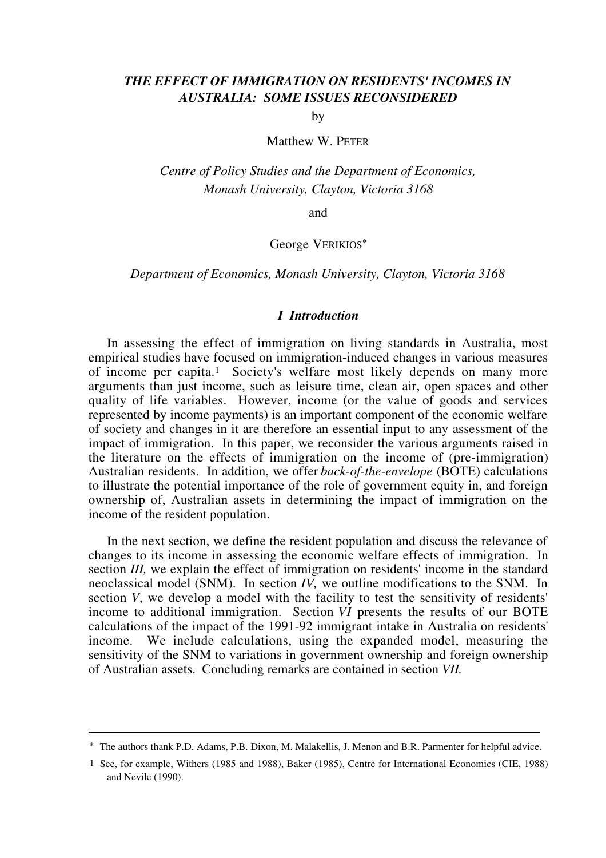# *THE EFFECT OF IMMIGRATION ON RESIDENTS' INCOMES IN AUSTRALIA: SOME ISSUES RECONSIDERED*

by

Matthew W. PETER

*Centre of Policy Studies and the Department of Economics, Monash University, Clayton, Victoria 3168*

and

George VERIKIOS\*

*Department of Economics, Monash University, Clayton, Victoria 3168*

# *I Introduction*

In assessing the effect of immigration on living standards in Australia, most empirical studies have focused on immigration-induced changes in various measures of income per capita.1 Society's welfare most likely depends on many more arguments than just income, such as leisure time, clean air, open spaces and other quality of life variables. However, income (or the value of goods and services represented by income payments) is an important component of the economic welfare of society and changes in it are therefore an essential input to any assessment of the impact of immigration. In this paper, we reconsider the various arguments raised in the literature on the effects of immigration on the income of (pre-immigration) Australian residents. In addition, we offer *back-of-the-envelope* (BOTE) calculations to illustrate the potential importance of the role of government equity in, and foreign ownership of, Australian assets in determining the impact of immigration on the income of the resident population.

In the next section, we define the resident population and discuss the relevance of changes to its income in assessing the economic welfare effects of immigration. In section *III*, we explain the effect of immigration on residents' income in the standard neoclassical model (SNM). In section *IV,* we outline modifications to the SNM. In section *V*, we develop a model with the facility to test the sensitivity of residents' income to additional immigration. Section *VI* presents the results of our BOTE calculations of the impact of the 1991-92 immigrant intake in Australia on residents' income. We include calculations, using the expanded model, measuring the sensitivity of the SNM to variations in government ownership and foreign ownership of Australian assets. Concluding remarks are contained in section *VII.*

l

<sup>\*</sup> The authors thank P.D. Adams, P.B. Dixon, M. Malakellis, J. Menon and B.R. Parmenter for helpful advice.

<sup>1</sup> See, for example, Withers (1985 and 1988), Baker (1985), Centre for International Economics (CIE, 1988) and Nevile (1990).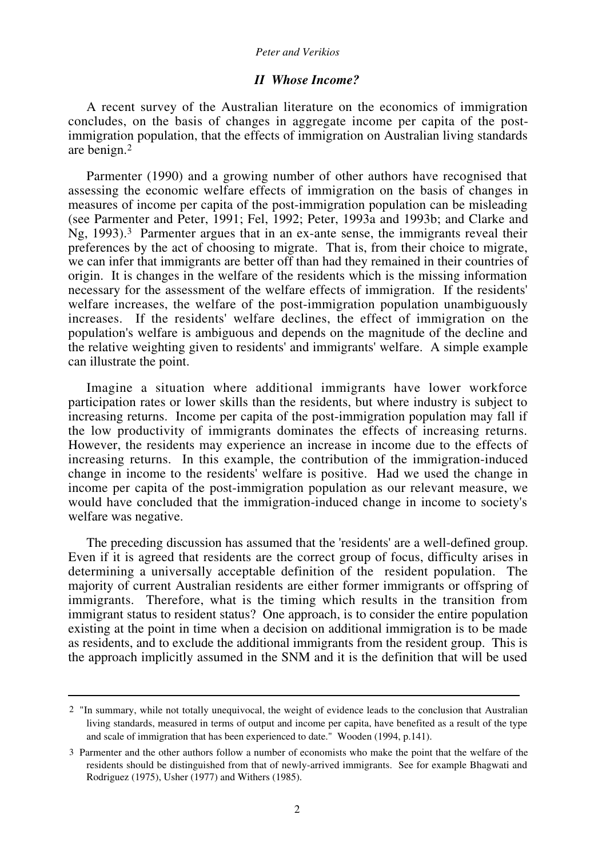# *II Whose Income?*

A recent survey of the Australian literature on the economics of immigration concludes, on the basis of changes in aggregate income per capita of the postimmigration population, that the effects of immigration on Australian living standards are benign.2

Parmenter (1990) and a growing number of other authors have recognised that assessing the economic welfare effects of immigration on the basis of changes in measures of income per capita of the post-immigration population can be misleading (see Parmenter and Peter, 1991; Fel, 1992; Peter, 1993a and 1993b; and Clarke and Ng, 1993).3 Parmenter argues that in an ex-ante sense, the immigrants reveal their preferences by the act of choosing to migrate. That is, from their choice to migrate, we can infer that immigrants are better off than had they remained in their countries of origin. It is changes in the welfare of the residents which is the missing information necessary for the assessment of the welfare effects of immigration. If the residents' welfare increases, the welfare of the post-immigration population unambiguously increases. If the residents' welfare declines, the effect of immigration on the population's welfare is ambiguous and depends on the magnitude of the decline and the relative weighting given to residents' and immigrants' welfare. A simple example can illustrate the point.

Imagine a situation where additional immigrants have lower workforce participation rates or lower skills than the residents, but where industry is subject to increasing returns. Income per capita of the post-immigration population may fall if the low productivity of immigrants dominates the effects of increasing returns. However, the residents may experience an increase in income due to the effects of increasing returns. In this example, the contribution of the immigration-induced change in income to the residents' welfare is positive. Had we used the change in income per capita of the post-immigration population as our relevant measure, we would have concluded that the immigration-induced change in income to society's welfare was negative.

The preceding discussion has assumed that the 'residents' are a well-defined group. Even if it is agreed that residents are the correct group of focus, difficulty arises in determining a universally acceptable definition of the resident population. The majority of current Australian residents are either former immigrants or offspring of immigrants. Therefore, what is the timing which results in the transition from immigrant status to resident status? One approach, is to consider the entire population existing at the point in time when a decision on additional immigration is to be made as residents, and to exclude the additional immigrants from the resident group. This is the approach implicitly assumed in the SNM and it is the definition that will be used

<sup>2 &</sup>quot;In summary, while not totally unequivocal, the weight of evidence leads to the conclusion that Australian living standards, measured in terms of output and income per capita, have benefited as a result of the type and scale of immigration that has been experienced to date." Wooden (1994, p.141).

<sup>3</sup> Parmenter and the other authors follow a number of economists who make the point that the welfare of the residents should be distinguished from that of newly-arrived immigrants. See for example Bhagwati and Rodriguez (1975), Usher (1977) and Withers (1985).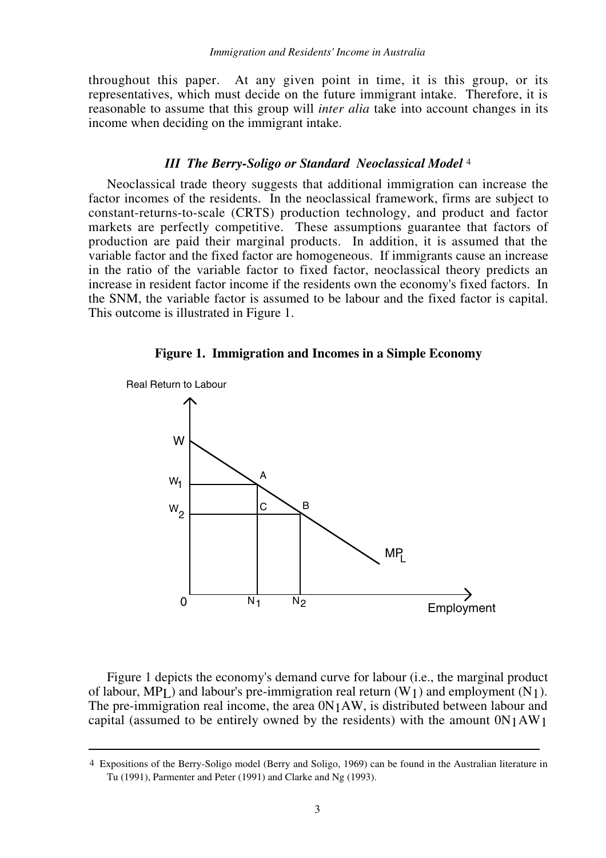throughout this paper. At any given point in time, it is this group, or its representatives, which must decide on the future immigrant intake. Therefore, it is reasonable to assume that this group will *inter alia* take into account changes in its income when deciding on the immigrant intake.

# *III The Berry-Soligo or Standard Neoclassical Model* <sup>4</sup>

Neoclassical trade theory suggests that additional immigration can increase the factor incomes of the residents. In the neoclassical framework, firms are subject to constant-returns-to-scale (CRTS) production technology, and product and factor markets are perfectly competitive. These assumptions guarantee that factors of production are paid their marginal products. In addition, it is assumed that the variable factor and the fixed factor are homogeneous. If immigrants cause an increase in the ratio of the variable factor to fixed factor, neoclassical theory predicts an increase in resident factor income if the residents own the economy's fixed factors. In the SNM, the variable factor is assumed to be labour and the fixed factor is capital. This outcome is illustrated in Figure 1.

# **Figure 1. Immigration and Incomes in a Simple Economy**



Figure 1 depicts the economy's demand curve for labour (i.e., the marginal product of labour, MPL) and labour's pre-immigration real return  $(W_1)$  and employment  $(N_1)$ . The pre-immigration real income, the area  $0N1AW$ , is distributed between labour and capital (assumed to be entirely owned by the residents) with the amount  $0N1AW1$ 

l

<sup>4</sup> Expositions of the Berry-Soligo model (Berry and Soligo, 1969) can be found in the Australian literature in Tu (1991), Parmenter and Peter (1991) and Clarke and Ng (1993).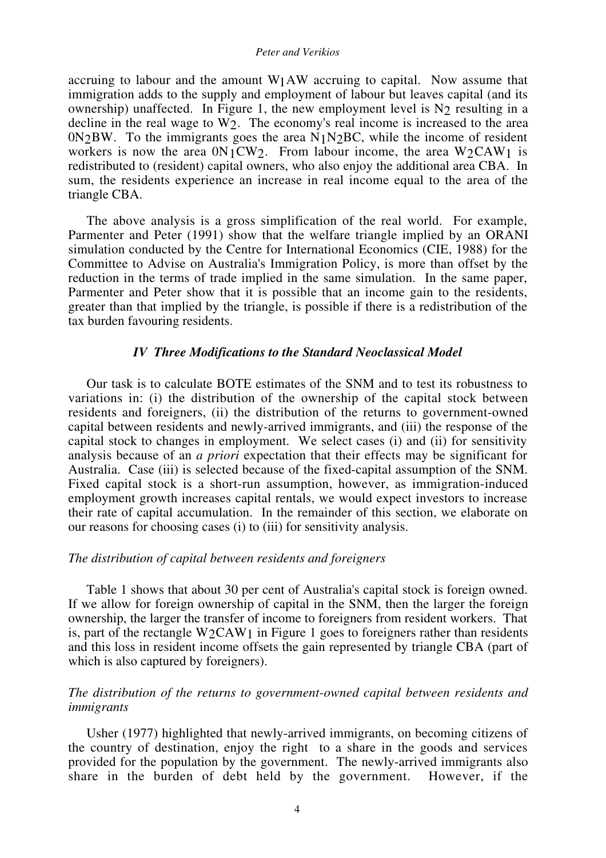accruing to labour and the amount  $W<sub>1</sub>AW$  accruing to capital. Now assume that immigration adds to the supply and employment of labour but leaves capital (and its ownership) unaffected. In Figure 1, the new employment level is  $N_2$  resulting in a decline in the real wage to  $W_2$ . The economy's real income is increased to the area  $0N2BW$ . To the immigrants goes the area  $N1N2BC$ , while the income of resident workers is now the area  $0N1CW2$ . From labour income, the area  $W2CAW1$  is redistributed to (resident) capital owners, who also enjoy the additional area CBA. In sum, the residents experience an increase in real income equal to the area of the triangle CBA.

The above analysis is a gross simplification of the real world. For example, Parmenter and Peter (1991) show that the welfare triangle implied by an ORANI simulation conducted by the Centre for International Economics (CIE, 1988) for the Committee to Advise on Australia's Immigration Policy, is more than offset by the reduction in the terms of trade implied in the same simulation. In the same paper, Parmenter and Peter show that it is possible that an income gain to the residents, greater than that implied by the triangle, is possible if there is a redistribution of the tax burden favouring residents.

# *IV Three Modifications to the Standard Neoclassical Model*

Our task is to calculate BOTE estimates of the SNM and to test its robustness to variations in: (i) the distribution of the ownership of the capital stock between residents and foreigners, (ii) the distribution of the returns to government-owned capital between residents and newly-arrived immigrants, and (iii) the response of the capital stock to changes in employment. We select cases (i) and (ii) for sensitivity analysis because of an *a priori* expectation that their effects may be significant for Australia. Case (iii) is selected because of the fixed-capital assumption of the SNM. Fixed capital stock is a short-run assumption, however, as immigration-induced employment growth increases capital rentals, we would expect investors to increase their rate of capital accumulation. In the remainder of this section, we elaborate on our reasons for choosing cases (i) to (iii) for sensitivity analysis.

# *The distribution of capital between residents and foreigners*

Table 1 shows that about 30 per cent of Australia's capital stock is foreign owned. If we allow for foreign ownership of capital in the SNM, then the larger the foreign ownership, the larger the transfer of income to foreigners from resident workers. That is, part of the rectangle  $W<sub>2</sub>CAW<sub>1</sub>$  in Figure 1 goes to foreigners rather than residents and this loss in resident income offsets the gain represented by triangle CBA (part of which is also captured by foreigners).

# *The distribution of the returns to government-owned capital between residents and immigrants*

Usher (1977) highlighted that newly-arrived immigrants, on becoming citizens of the country of destination, enjoy the right to a share in the goods and services provided for the population by the government. The newly-arrived immigrants also share in the burden of debt held by the government. However, if the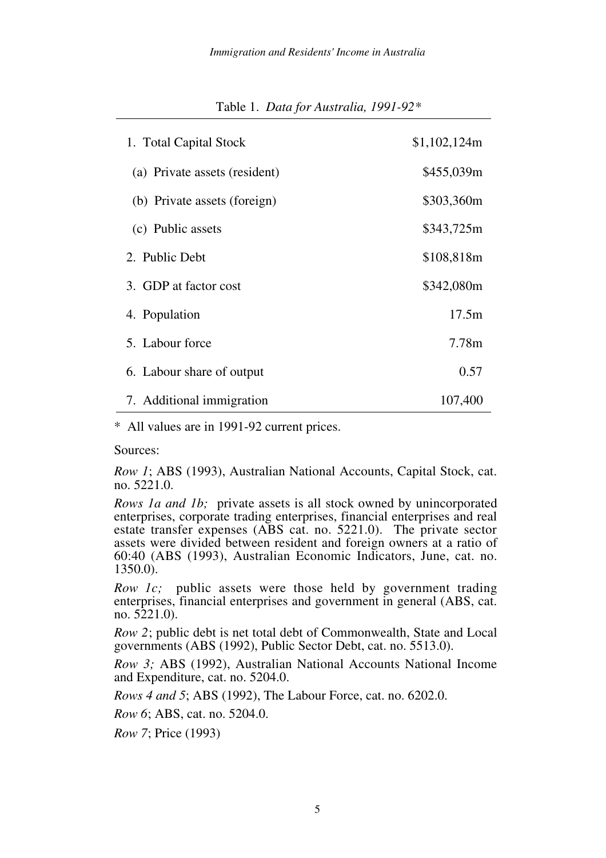| 1. Total Capital Stock        | \$1,102,124m |
|-------------------------------|--------------|
| (a) Private assets (resident) | \$455,039m   |
| (b) Private assets (foreign)  | \$303,360m   |
| (c) Public assets             | \$343,725m   |
| 2. Public Debt                | \$108,818m   |
| 3. GDP at factor cost         | \$342,080m   |
| 4. Population                 | 17.5m        |
| 5. Labour force               | 7.78m        |
| 6. Labour share of output     | 0.57         |
| 7. Additional immigration     | 107,400      |

Table 1. *Data for Australia, 1991-92\**

\* All values are in 1991-92 current prices.

Sources:

*Row 1*; ABS (1993), Australian National Accounts, Capital Stock, cat. no. 5221.0.

*Rows 1a and 1b;* private assets is all stock owned by unincorporated enterprises, corporate trading enterprises, financial enterprises and real estate transfer expenses (ABS cat. no. 5221.0). The private sector assets were divided between resident and foreign owners at a ratio of 60:40 (ABS (1993), Australian Economic Indicators, June, cat. no. 1350.0).

*Row 1c*; public assets were those held by government trading enterprises, financial enterprises and government in general (ABS, cat. no. 5221.0).

*Row 2*; public debt is net total debt of Commonwealth, State and Local governments (ABS (1992), Public Sector Debt, cat. no. 5513.0).

*Row 3;* ABS (1992), Australian National Accounts National Income and Expenditure, cat. no. 5204.0.

*Rows 4 and 5*; ABS (1992), The Labour Force, cat. no. 6202.0.

*Row 6*; ABS, cat. no. 5204.0.

*Row 7*; Price (1993)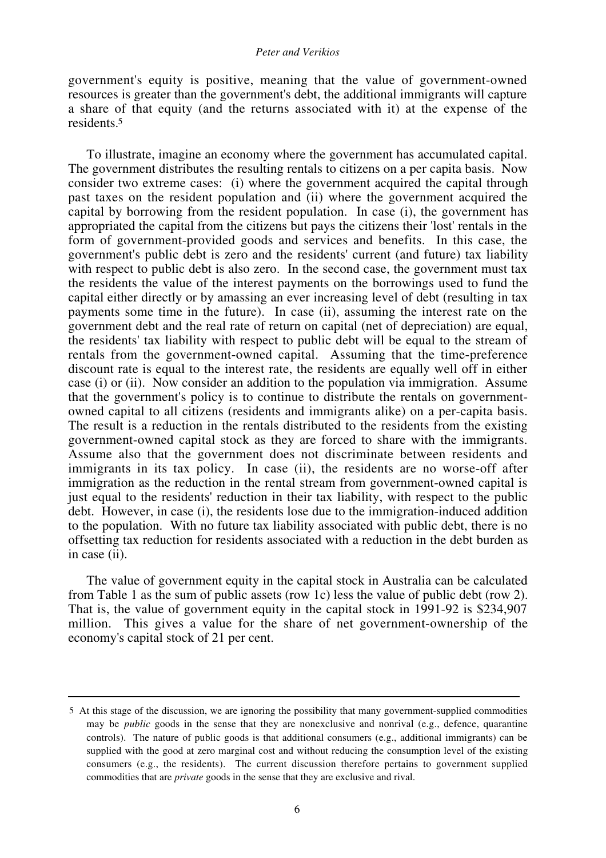government's equity is positive, meaning that the value of government-owned resources is greater than the government's debt, the additional immigrants will capture a share of that equity (and the returns associated with it) at the expense of the residents.5

To illustrate, imagine an economy where the government has accumulated capital. The government distributes the resulting rentals to citizens on a per capita basis. Now consider two extreme cases: (i) where the government acquired the capital through past taxes on the resident population and (ii) where the government acquired the capital by borrowing from the resident population. In case (i), the government has appropriated the capital from the citizens but pays the citizens their 'lost' rentals in the form of government-provided goods and services and benefits. In this case, the government's public debt is zero and the residents' current (and future) tax liability with respect to public debt is also zero. In the second case, the government must tax the residents the value of the interest payments on the borrowings used to fund the capital either directly or by amassing an ever increasing level of debt (resulting in tax payments some time in the future). In case (ii), assuming the interest rate on the government debt and the real rate of return on capital (net of depreciation) are equal, the residents' tax liability with respect to public debt will be equal to the stream of rentals from the government-owned capital. Assuming that the time-preference discount rate is equal to the interest rate, the residents are equally well off in either case (i) or (ii). Now consider an addition to the population via immigration. Assume that the government's policy is to continue to distribute the rentals on governmentowned capital to all citizens (residents and immigrants alike) on a per-capita basis. The result is a reduction in the rentals distributed to the residents from the existing government-owned capital stock as they are forced to share with the immigrants. Assume also that the government does not discriminate between residents and immigrants in its tax policy. In case (ii), the residents are no worse-off after immigration as the reduction in the rental stream from government-owned capital is just equal to the residents' reduction in their tax liability, with respect to the public debt. However, in case (i), the residents lose due to the immigration-induced addition to the population. With no future tax liability associated with public debt, there is no offsetting tax reduction for residents associated with a reduction in the debt burden as in case (ii).

The value of government equity in the capital stock in Australia can be calculated from Table 1 as the sum of public assets (row 1c) less the value of public debt (row 2). That is, the value of government equity in the capital stock in 1991-92 is \$234,907 million. This gives a value for the share of net government-ownership of the economy's capital stock of 21 per cent.

l

<sup>5</sup> At this stage of the discussion, we are ignoring the possibility that many government-supplied commodities may be *public* goods in the sense that they are nonexclusive and nonrival (e.g., defence, quarantine controls). The nature of public goods is that additional consumers (e.g., additional immigrants) can be supplied with the good at zero marginal cost and without reducing the consumption level of the existing consumers (e.g., the residents). The current discussion therefore pertains to government supplied commodities that are *private* goods in the sense that they are exclusive and rival.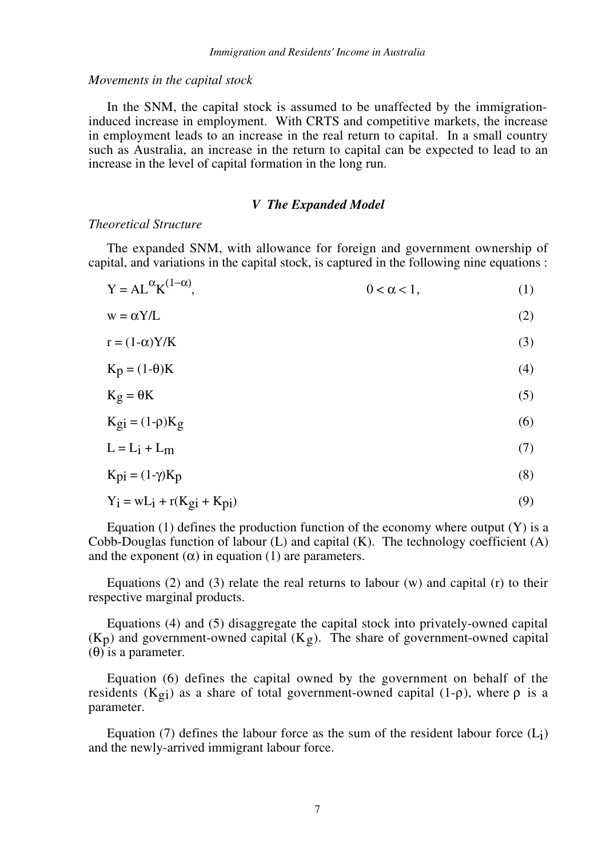# *Movements in the capital stock*

In the SNM, the capital stock is assumed to be unaffected by the immigrationinduced increase in employment. With CRTS and competitive markets, the increase in employment leads to an increase in the real return to capital. In a small country such as Australia, an increase in the return to capital can be expected to lead to an increase in the level of capital formation in the long run.

# *V The Expanded Model*

# *Theoretical Structure*

The expanded SNM, with allowance for foreign and government ownership of capital, and variations in the capital stock, is captured in the following nine equations :

| $Y = AL^{\alpha}K^{(1-\alpha)},$ | $0 < \alpha < 1$ , | (1) |
|----------------------------------|--------------------|-----|
|                                  |                    |     |

$$
r = (1 - \alpha)Y/K
$$
 (3)

$$
K_p = (1 - \theta)K\tag{4}
$$

$$
K_g = \theta K \tag{5}
$$

$$
K_{gi} = (1 - \rho)K_g \tag{6}
$$

$$
L = L_1 + L_m \tag{7}
$$

$$
K_{pi} = (1-\gamma)K_p
$$
 (8)

$$
Y_i = w_i + r(Kgi + Kpi)
$$
 (9)

Equation (1) defines the production function of the economy where output  $(Y)$  is a Cobb-Douglas function of labour (L) and capital (K). The technology coefficient (A) and the exponent  $(\alpha)$  in equation (1) are parameters.

Equations (2) and (3) relate the real returns to labour (w) and capital (r) to their respective marginal products.

Equations (4) and (5) disaggregate the capital stock into privately-owned capital  $(K_p)$  and government-owned capital  $(K_g)$ . The share of government-owned capital  $(θ)$  is a parameter.

Equation (6) defines the capital owned by the government on behalf of the residents (K<sub>gi</sub>) as a share of total government-owned capital (1- $\rho$ ), where  $\rho$  is a parameter.

Equation (7) defines the labour force as the sum of the resident labour force  $(L<sub>i</sub>)$ and the newly-arrived immigrant labour force.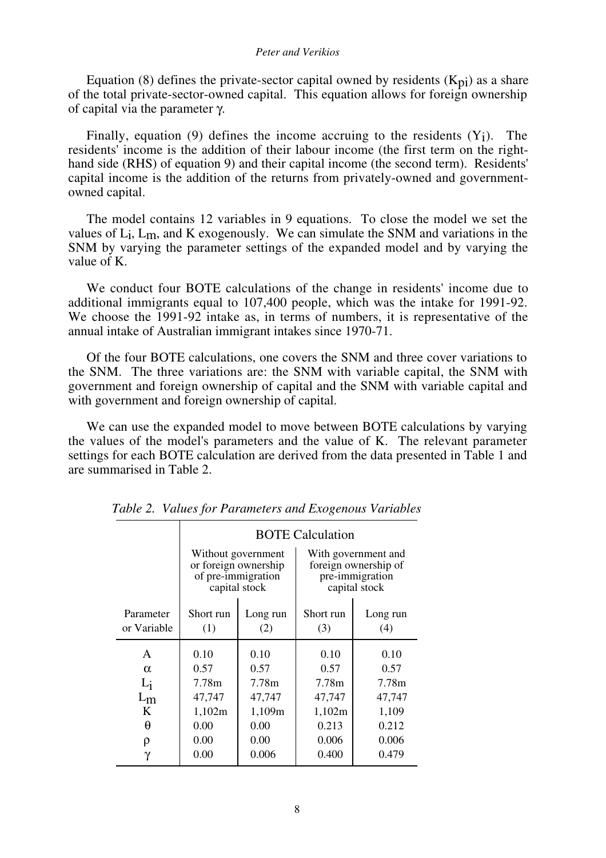Equation (8) defines the private-sector capital owned by residents  $(K_{pi})$  as a share of the total private-sector-owned capital. This equation allows for foreign ownership of capital via the parameter γ.

Finally, equation (9) defines the income accruing to the residents  $(Y_i)$ . The residents' income is the addition of their labour income (the first term on the righthand side (RHS) of equation 9) and their capital income (the second term). Residents' capital income is the addition of the returns from privately-owned and governmentowned capital.

The model contains 12 variables in 9 equations. To close the model we set the values of  $L_i$ ,  $L_m$ , and K exogenously. We can simulate the SNM and variations in the SNM by varying the parameter settings of the expanded model and by varying the value of K.

We conduct four BOTE calculations of the change in residents' income due to additional immigrants equal to 107,400 people, which was the intake for 1991-92. We choose the 1991-92 intake as, in terms of numbers, it is representative of the annual intake of Australian immigrant intakes since 1970-71.

Of the four BOTE calculations, one covers the SNM and three cover variations to the SNM. The three variations are: the SNM with variable capital, the SNM with government and foreign ownership of capital and the SNM with variable capital and with government and foreign ownership of capital.

We can use the expanded model to move between BOTE calculations by varying the values of the model's parameters and the value of K. The relevant parameter settings for each BOTE calculation are derived from the data presented in Table 1 and are summarised in Table 2.

|                          | <b>BOTE Calculation</b>                                                           |                 |                                                                                 |                 |
|--------------------------|-----------------------------------------------------------------------------------|-----------------|---------------------------------------------------------------------------------|-----------------|
|                          | Without government<br>or foreign ownership<br>of pre-immigration<br>capital stock |                 | With government and<br>foreign ownership of<br>pre-immigration<br>capital stock |                 |
| Parameter<br>or Variable | Short run<br>(1)                                                                  | Long run<br>(2) | Short run<br>(3)                                                                | Long run<br>(4) |
| A                        | 0.10                                                                              | 0.10            | 0.10                                                                            | 0.10            |
| $\alpha$                 | 0.57                                                                              | 0.57            | 0.57                                                                            | 0.57            |
| $L_i$                    | 7.78m                                                                             | 7.78m           | 7.78m                                                                           | 7.78m           |
| $L_{m}$                  | 47,747                                                                            | 47,747          | 47,747                                                                          | 47,747          |
| K                        | 1,102m                                                                            | 1,109m          | 1,102m                                                                          | 1,109           |
| θ                        | 0.00                                                                              | 0.00            | 0.213                                                                           | 0.212           |
| ρ                        | 0.00                                                                              | 0.00            | 0.006                                                                           | 0.006           |
|                          |                                                                                   |                 |                                                                                 |                 |

*Table 2. Values for Parameters and Exogenous Variables*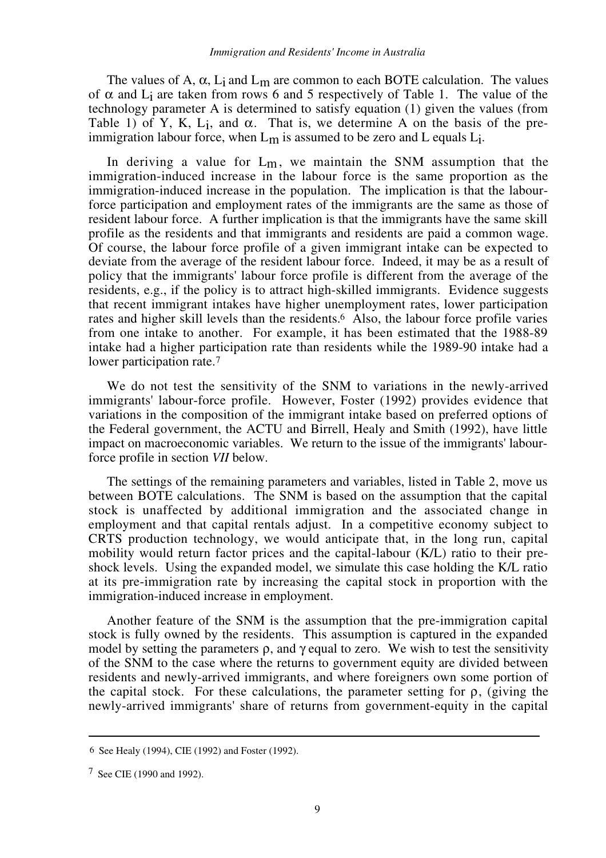The values of A,  $\alpha$ , L<sub>i</sub> and L<sub>m</sub> are common to each BOTE calculation. The values of  $\alpha$  and  $L_i$  are taken from rows 6 and 5 respectively of Table 1. The value of the technology parameter A is determined to satisfy equation (1) given the values (from Table 1) of Y, K, L<sub>i</sub>, and  $\alpha$ . That is, we determine A on the basis of the preimmigration labour force, when  $L_m$  is assumed to be zero and L equals  $L_i$ .

In deriving a value for  $L_m$ , we maintain the SNM assumption that the immigration-induced increase in the labour force is the same proportion as the immigration-induced increase in the population. The implication is that the labourforce participation and employment rates of the immigrants are the same as those of resident labour force. A further implication is that the immigrants have the same skill profile as the residents and that immigrants and residents are paid a common wage. Of course, the labour force profile of a given immigrant intake can be expected to deviate from the average of the resident labour force. Indeed, it may be as a result of policy that the immigrants' labour force profile is different from the average of the residents, e.g., if the policy is to attract high-skilled immigrants. Evidence suggests that recent immigrant intakes have higher unemployment rates, lower participation rates and higher skill levels than the residents.6 Also, the labour force profile varies from one intake to another. For example, it has been estimated that the 1988-89 intake had a higher participation rate than residents while the 1989-90 intake had a lower participation rate.<sup>7</sup>

We do not test the sensitivity of the SNM to variations in the newly-arrived immigrants' labour-force profile. However, Foster (1992) provides evidence that variations in the composition of the immigrant intake based on preferred options of the Federal government, the ACTU and Birrell, Healy and Smith (1992), have little impact on macroeconomic variables. We return to the issue of the immigrants' labourforce profile in section *VII* below.

The settings of the remaining parameters and variables, listed in Table 2, move us between BOTE calculations. The SNM is based on the assumption that the capital stock is unaffected by additional immigration and the associated change in employment and that capital rentals adjust. In a competitive economy subject to CRTS production technology, we would anticipate that, in the long run, capital mobility would return factor prices and the capital-labour (K/L) ratio to their preshock levels. Using the expanded model, we simulate this case holding the K/L ratio at its pre-immigration rate by increasing the capital stock in proportion with the immigration-induced increase in employment.

Another feature of the SNM is the assumption that the pre-immigration capital stock is fully owned by the residents. This assumption is captured in the expanded model by setting the parameters  $\rho$ , and  $\gamma$  equal to zero. We wish to test the sensitivity of the SNM to the case where the returns to government equity are divided between residents and newly-arrived immigrants, and where foreigners own some portion of the capital stock. For these calculations, the parameter setting for  $\rho$ , (giving the newly-arrived immigrants' share of returns from government-equity in the capital

 $\overline{\phantom{a}}$ 

<sup>6</sup> See Healy (1994), CIE (1992) and Foster (1992).

<sup>7</sup> See CIE (1990 and 1992).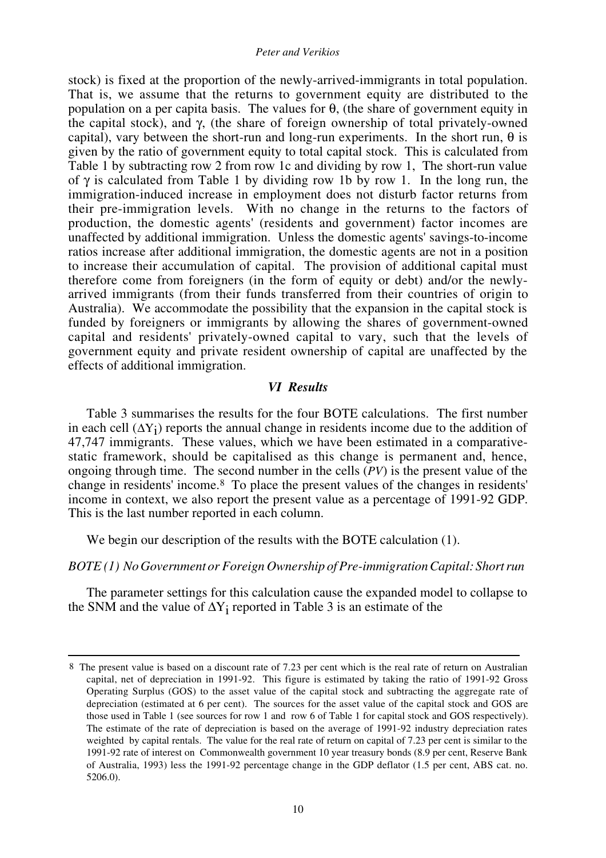stock) is fixed at the proportion of the newly-arrived-immigrants in total population. That is, we assume that the returns to government equity are distributed to the population on a per capita basis. The values for  $\theta$ , (the share of government equity in the capital stock), and γ, (the share of foreign ownership of total privately-owned capital), vary between the short-run and long-run experiments. In the short run,  $\theta$  is given by the ratio of government equity to total capital stock. This is calculated from Table 1 by subtracting row 2 from row 1c and dividing by row 1, The short-run value of  $\gamma$  is calculated from Table 1 by dividing row 1b by row 1. In the long run, the immigration-induced increase in employment does not disturb factor returns from their pre-immigration levels. With no change in the returns to the factors of production, the domestic agents' (residents and government) factor incomes are unaffected by additional immigration. Unless the domestic agents' savings-to-income ratios increase after additional immigration, the domestic agents are not in a position to increase their accumulation of capital. The provision of additional capital must therefore come from foreigners (in the form of equity or debt) and/or the newlyarrived immigrants (from their funds transferred from their countries of origin to Australia). We accommodate the possibility that the expansion in the capital stock is funded by foreigners or immigrants by allowing the shares of government-owned capital and residents' privately-owned capital to vary, such that the levels of government equity and private resident ownership of capital are unaffected by the effects of additional immigration.

# *VI Results*

Table 3 summarises the results for the four BOTE calculations. The first number in each cell  $(\Delta Y_i)$  reports the annual change in residents income due to the addition of 47,747 immigrants. These values, which we have been estimated in a comparativestatic framework, should be capitalised as this change is permanent and, hence, ongoing through time. The second number in the cells (*PV*) is the present value of the change in residents' income.8 To place the present values of the changes in residents' income in context, we also report the present value as a percentage of 1991-92 GDP. This is the last number reported in each column.

We begin our description of the results with the BOTE calculation (1).

*BOTE (1) NoGovernment or Foreign Ownership ofPre-immigrationCapital: Shortrun*

The parameter settings for this calculation cause the expanded model to collapse to the SNM and the value of  $\Delta Y_i$  reported in Table 3 is an estimate of the

<sup>8</sup> The present value is based on a discount rate of 7.23 per cent which is the real rate of return on Australian capital, net of depreciation in 1991-92. This figure is estimated by taking the ratio of 1991-92 Gross Operating Surplus (GOS) to the asset value of the capital stock and subtracting the aggregate rate of depreciation (estimated at 6 per cent). The sources for the asset value of the capital stock and GOS are those used in Table 1 (see sources for row 1 and row 6 of Table 1 for capital stock and GOS respectively). The estimate of the rate of depreciation is based on the average of 1991-92 industry depreciation rates weighted by capital rentals. The value for the real rate of return on capital of 7.23 per cent is similar to the 1991-92 rate of interest on Commonwealth government 10 year treasury bonds (8.9 per cent, Reserve Bank of Australia, 1993) less the 1991-92 percentage change in the GDP deflator (1.5 per cent, ABS cat. no. 5206.0).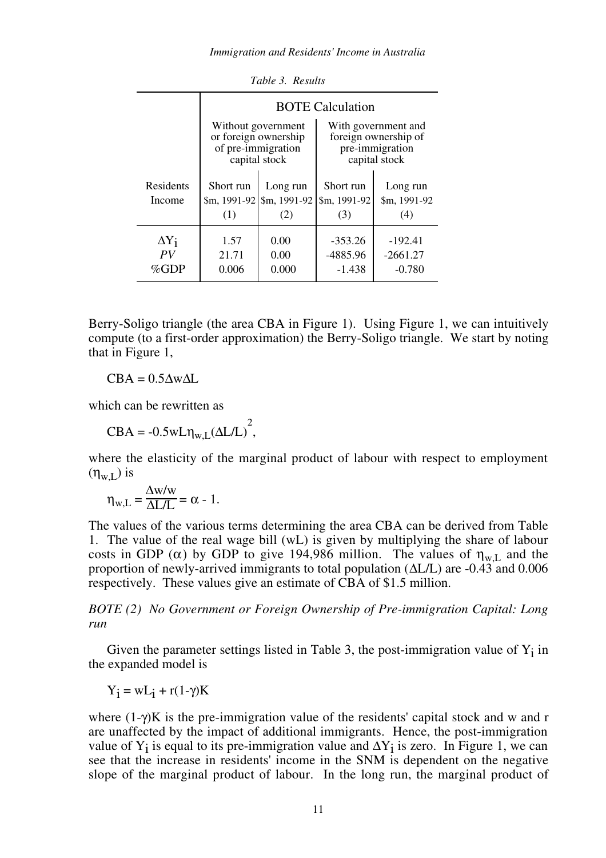|                                | <b>BOTE Calculation</b>                                                           |                                 |                                                                                 |                                     |
|--------------------------------|-----------------------------------------------------------------------------------|---------------------------------|---------------------------------------------------------------------------------|-------------------------------------|
|                                | Without government<br>or foreign ownership<br>of pre-immigration<br>capital stock |                                 | With government and<br>foreign ownership of<br>pre-immigration<br>capital stock |                                     |
| Residents<br>Income            | Short run<br>\$m, 1991-92<br>(1)                                                  | Long run<br>\$m, 1991-92<br>(2) | Short run<br>\$m, 1991-92<br>(3)                                                | Long run<br>\$m, 1991-92<br>(4)     |
| $\Delta Y_i$<br>PV<br>$\%$ GDP | 1.57<br>21.71<br>0.006                                                            | 0.00<br>0.00<br>0.000           | $-353.26$<br>-4885.96<br>$-1.438$                                               | $-192.41$<br>$-2661.27$<br>$-0.780$ |

*Table 3. Results*

Berry-Soligo triangle (the area CBA in Figure 1). Using Figure 1, we can intuitively compute (to a first-order approximation) the Berry-Soligo triangle. We start by noting that in Figure 1,

 $CBA = 0.5\text{A}$ w $\text{A}$ L

which can be rewritten as

CBA =  $-0.5$ wL $\eta_{w,L}(\Delta L/L)^2$ ,

where the elasticity of the marginal product of labour with respect to employment  $(\eta_{W,I})$  is

 $\eta_{w,L} =$ ∆w/w  $\frac{\Delta W}{\Delta L/L} = \alpha - 1.$ 

The values of the various terms determining the area CBA can be derived from Table 1. The value of the real wage bill (wL) is given by multiplying the share of labour costs in GDP ( $\alpha$ ) by GDP to give 194,986 million. The values of  $\eta_{w,L}$  and the proportion of newly-arrived immigrants to total population (∆L/L) are -0.43 and 0.006 respectively. These values give an estimate of CBA of \$1.5 million.

*BOTE (2) No Government or Foreign Ownership of Pre-immigration Capital: Long run*

Given the parameter settings listed in Table 3, the post-immigration value of  $Y_i$  in the expanded model is

 $Y_i = wL_i + r(1-\gamma)K$ 

where  $(1-\gamma)K$  is the pre-immigration value of the residents' capital stock and w and r are unaffected by the impact of additional immigrants. Hence, the post-immigration value of Y<sub>i</sub> is equal to its pre-immigration value and  $\Delta$ Y<sub>i</sub> is zero. In Figure 1, we can see that the increase in residents' income in the SNM is dependent on the negative slope of the marginal product of labour. In the long run, the marginal product of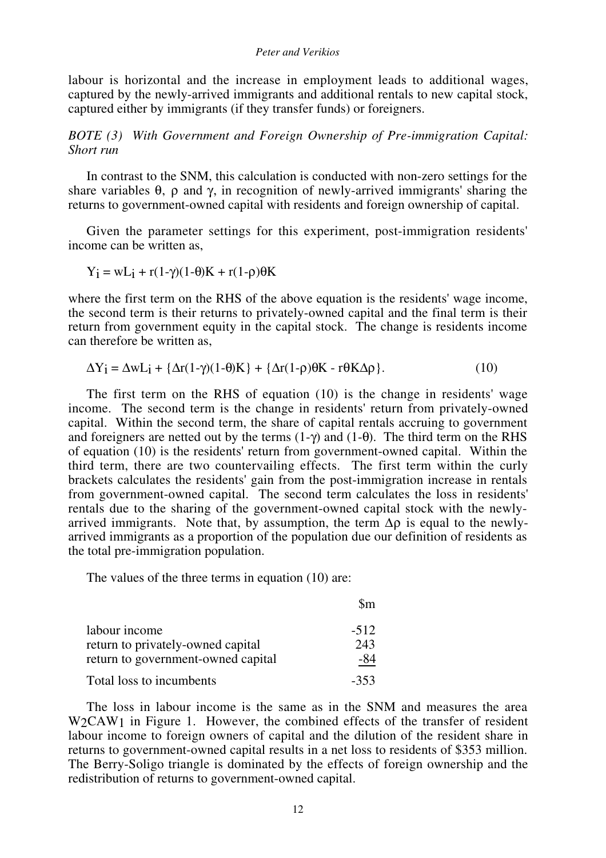labour is horizontal and the increase in employment leads to additional wages, captured by the newly-arrived immigrants and additional rentals to new capital stock, captured either by immigrants (if they transfer funds) or foreigners.

*BOTE (3) With Government and Foreign Ownership of Pre-immigration Capital: Short run*

In contrast to the SNM, this calculation is conducted with non-zero settings for the share variables  $\theta$ ,  $\rho$  and  $\gamma$ , in recognition of newly-arrived immigrants' sharing the returns to government-owned capital with residents and foreign ownership of capital.

Given the parameter settings for this experiment, post-immigration residents' income can be written as,

 $Y_i = wL_i + r(1-\gamma)(1-\theta)K + r(1-\rho)\theta K$ 

where the first term on the RHS of the above equation is the residents' wage income, the second term is their returns to privately-owned capital and the final term is their return from government equity in the capital stock. The change is residents income can therefore be written as,

 $\Delta Y_i = \Delta w L_i + {\Delta r (1-\gamma)(1-\theta)K} + {\Delta r (1-\rho)\theta K - r\theta K \Delta \rho}.$  (10)

The first term on the RHS of equation (10) is the change in residents' wage income. The second term is the change in residents' return from privately-owned capital. Within the second term, the share of capital rentals accruing to government and foreigners are netted out by the terms  $(1-\gamma)$  and  $(1-\theta)$ . The third term on the RHS of equation (10) is the residents' return from government-owned capital. Within the third term, there are two countervailing effects. The first term within the curly brackets calculates the residents' gain from the post-immigration increase in rentals from government-owned capital. The second term calculates the loss in residents' rentals due to the sharing of the government-owned capital stock with the newlyarrived immigrants. Note that, by assumption, the term  $\Delta \rho$  is equal to the newlyarrived immigrants as a proportion of the population due our definition of residents as the total pre-immigration population.

The values of the three terms in equation (10) are:

|                                    | $\mathbb{S}_{m}$ |
|------------------------------------|------------------|
| labour income                      | $-512$           |
| return to privately-owned capital  | 243              |
| return to government-owned capital | -84              |
| Total loss to incumbents           | $-353$           |

The loss in labour income is the same as in the SNM and measures the area W<sub>2</sub>CAW<sub>1</sub> in Figure 1. However, the combined effects of the transfer of resident labour income to foreign owners of capital and the dilution of the resident share in returns to government-owned capital results in a net loss to residents of \$353 million. The Berry-Soligo triangle is dominated by the effects of foreign ownership and the redistribution of returns to government-owned capital.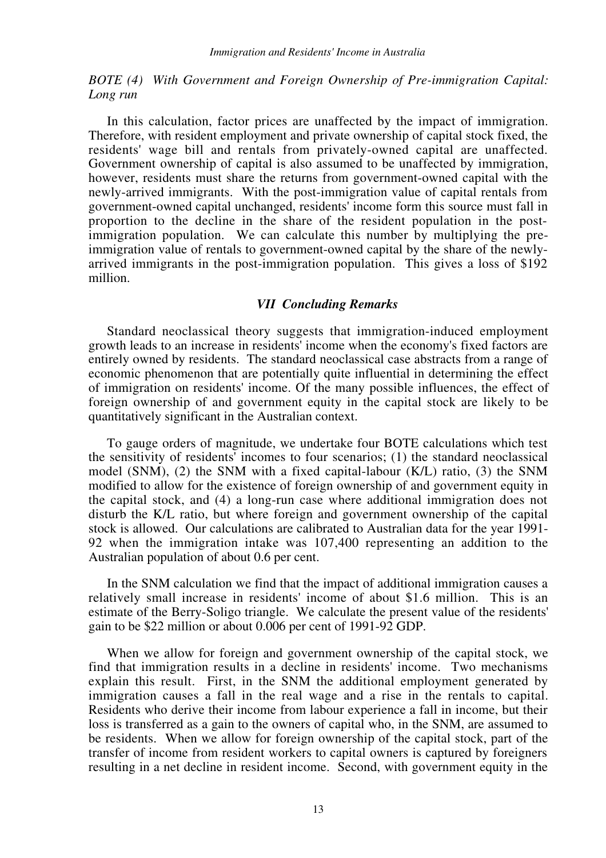# *BOTE (4) With Government and Foreign Ownership of Pre-immigration Capital: Long run*

In this calculation, factor prices are unaffected by the impact of immigration. Therefore, with resident employment and private ownership of capital stock fixed, the residents' wage bill and rentals from privately-owned capital are unaffected. Government ownership of capital is also assumed to be unaffected by immigration, however, residents must share the returns from government-owned capital with the newly-arrived immigrants. With the post-immigration value of capital rentals from government-owned capital unchanged, residents' income form this source must fall in proportion to the decline in the share of the resident population in the postimmigration population. We can calculate this number by multiplying the preimmigration value of rentals to government-owned capital by the share of the newlyarrived immigrants in the post-immigration population. This gives a loss of \$192 million.

# *VII Concluding Remarks*

Standard neoclassical theory suggests that immigration-induced employment growth leads to an increase in residents' income when the economy's fixed factors are entirely owned by residents. The standard neoclassical case abstracts from a range of economic phenomenon that are potentially quite influential in determining the effect of immigration on residents' income. Of the many possible influences, the effect of foreign ownership of and government equity in the capital stock are likely to be quantitatively significant in the Australian context.

To gauge orders of magnitude, we undertake four BOTE calculations which test the sensitivity of residents' incomes to four scenarios; (1) the standard neoclassical model (SNM), (2) the SNM with a fixed capital-labour (K/L) ratio, (3) the SNM modified to allow for the existence of foreign ownership of and government equity in the capital stock, and (4) a long-run case where additional immigration does not disturb the K/L ratio, but where foreign and government ownership of the capital stock is allowed. Our calculations are calibrated to Australian data for the year 1991- 92 when the immigration intake was 107,400 representing an addition to the Australian population of about 0.6 per cent.

In the SNM calculation we find that the impact of additional immigration causes a relatively small increase in residents' income of about \$1.6 million. This is an estimate of the Berry-Soligo triangle. We calculate the present value of the residents' gain to be \$22 million or about 0.006 per cent of 1991-92 GDP.

When we allow for foreign and government ownership of the capital stock, we find that immigration results in a decline in residents' income. Two mechanisms explain this result. First, in the SNM the additional employment generated by immigration causes a fall in the real wage and a rise in the rentals to capital. Residents who derive their income from labour experience a fall in income, but their loss is transferred as a gain to the owners of capital who, in the SNM, are assumed to be residents. When we allow for foreign ownership of the capital stock, part of the transfer of income from resident workers to capital owners is captured by foreigners resulting in a net decline in resident income. Second, with government equity in the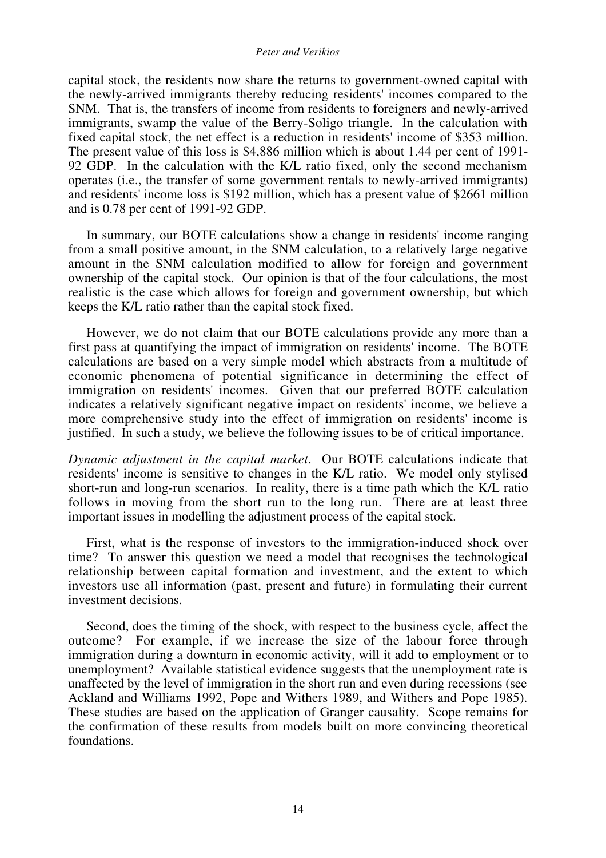capital stock, the residents now share the returns to government-owned capital with the newly-arrived immigrants thereby reducing residents' incomes compared to the SNM. That is, the transfers of income from residents to foreigners and newly-arrived immigrants, swamp the value of the Berry-Soligo triangle. In the calculation with fixed capital stock, the net effect is a reduction in residents' income of \$353 million. The present value of this loss is \$4,886 million which is about 1.44 per cent of 1991- 92 GDP. In the calculation with the K/L ratio fixed, only the second mechanism operates (i.e., the transfer of some government rentals to newly-arrived immigrants) and residents' income loss is \$192 million, which has a present value of \$2661 million and is 0.78 per cent of 1991-92 GDP.

In summary, our BOTE calculations show a change in residents' income ranging from a small positive amount, in the SNM calculation, to a relatively large negative amount in the SNM calculation modified to allow for foreign and government ownership of the capital stock. Our opinion is that of the four calculations, the most realistic is the case which allows for foreign and government ownership, but which keeps the K/L ratio rather than the capital stock fixed.

However, we do not claim that our BOTE calculations provide any more than a first pass at quantifying the impact of immigration on residents' income. The BOTE calculations are based on a very simple model which abstracts from a multitude of economic phenomena of potential significance in determining the effect of immigration on residents' incomes. Given that our preferred BOTE calculation indicates a relatively significant negative impact on residents' income, we believe a more comprehensive study into the effect of immigration on residents' income is justified. In such a study, we believe the following issues to be of critical importance.

*Dynamic adjustment in the capital market*. Our BOTE calculations indicate that residents' income is sensitive to changes in the K/L ratio. We model only stylised short-run and long-run scenarios. In reality, there is a time path which the K/L ratio follows in moving from the short run to the long run. There are at least three important issues in modelling the adjustment process of the capital stock.

First, what is the response of investors to the immigration-induced shock over time? To answer this question we need a model that recognises the technological relationship between capital formation and investment, and the extent to which investors use all information (past, present and future) in formulating their current investment decisions.

Second, does the timing of the shock, with respect to the business cycle, affect the outcome? For example, if we increase the size of the labour force through immigration during a downturn in economic activity, will it add to employment or to unemployment? Available statistical evidence suggests that the unemployment rate is unaffected by the level of immigration in the short run and even during recessions (see Ackland and Williams 1992, Pope and Withers 1989, and Withers and Pope 1985). These studies are based on the application of Granger causality. Scope remains for the confirmation of these results from models built on more convincing theoretical foundations.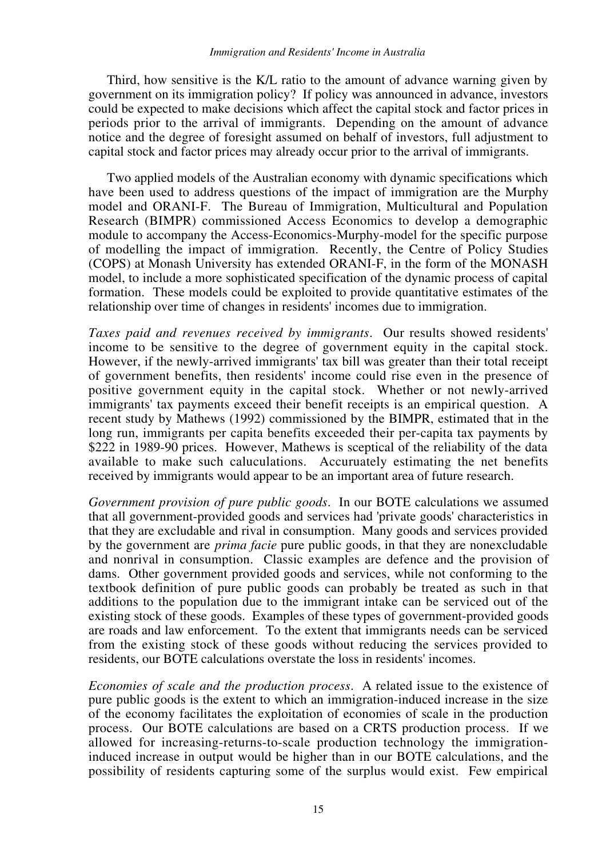Third, how sensitive is the K/L ratio to the amount of advance warning given by government on its immigration policy? If policy was announced in advance, investors could be expected to make decisions which affect the capital stock and factor prices in periods prior to the arrival of immigrants. Depending on the amount of advance notice and the degree of foresight assumed on behalf of investors, full adjustment to capital stock and factor prices may already occur prior to the arrival of immigrants.

Two applied models of the Australian economy with dynamic specifications which have been used to address questions of the impact of immigration are the Murphy model and ORANI-F. The Bureau of Immigration, Multicultural and Population Research (BIMPR) commissioned Access Economics to develop a demographic module to accompany the Access-Economics-Murphy-model for the specific purpose of modelling the impact of immigration. Recently, the Centre of Policy Studies (COPS) at Monash University has extended ORANI-F, in the form of the MONASH model, to include a more sophisticated specification of the dynamic process of capital formation. These models could be exploited to provide quantitative estimates of the relationship over time of changes in residents' incomes due to immigration.

*Taxes paid and revenues received by immigrants*. Our results showed residents' income to be sensitive to the degree of government equity in the capital stock. However, if the newly-arrived immigrants' tax bill was greater than their total receipt of government benefits, then residents' income could rise even in the presence of positive government equity in the capital stock. Whether or not newly-arrived immigrants' tax payments exceed their benefit receipts is an empirical question. A recent study by Mathews (1992) commissioned by the BIMPR, estimated that in the long run, immigrants per capita benefits exceeded their per-capita tax payments by \$222 in 1989-90 prices. However, Mathews is sceptical of the reliability of the data available to make such caluculations. Accuruately estimating the net benefits received by immigrants would appear to be an important area of future research.

*Government provision of pure public goods*. In our BOTE calculations we assumed that all government-provided goods and services had 'private goods' characteristics in that they are excludable and rival in consumption. Many goods and services provided by the government are *prima facie* pure public goods, in that they are nonexcludable and nonrival in consumption. Classic examples are defence and the provision of dams. Other government provided goods and services, while not conforming to the textbook definition of pure public goods can probably be treated as such in that additions to the population due to the immigrant intake can be serviced out of the existing stock of these goods. Examples of these types of government-provided goods are roads and law enforcement. To the extent that immigrants needs can be serviced from the existing stock of these goods without reducing the services provided to residents, our BOTE calculations overstate the loss in residents' incomes.

*Economies of scale and the production process*. A related issue to the existence of pure public goods is the extent to which an immigration-induced increase in the size of the economy facilitates the exploitation of economies of scale in the production process. Our BOTE calculations are based on a CRTS production process. If we allowed for increasing-returns-to-scale production technology the immigrationinduced increase in output would be higher than in our BOTE calculations, and the possibility of residents capturing some of the surplus would exist. Few empirical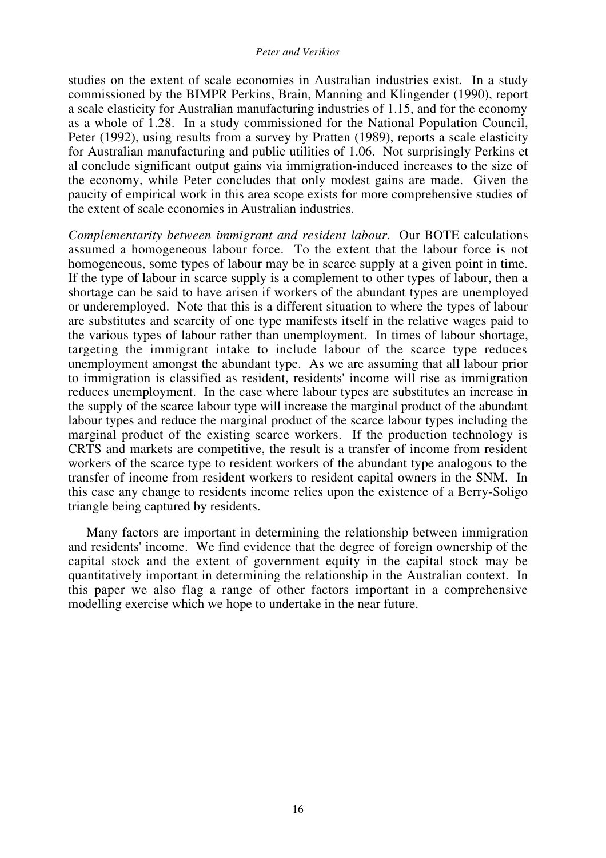studies on the extent of scale economies in Australian industries exist. In a study commissioned by the BIMPR Perkins, Brain, Manning and Klingender (1990), report a scale elasticity for Australian manufacturing industries of 1.15, and for the economy as a whole of 1.28. In a study commissioned for the National Population Council, Peter (1992), using results from a survey by Pratten (1989), reports a scale elasticity for Australian manufacturing and public utilities of 1.06. Not surprisingly Perkins et al conclude significant output gains via immigration-induced increases to the size of the economy, while Peter concludes that only modest gains are made. Given the paucity of empirical work in this area scope exists for more comprehensive studies of the extent of scale economies in Australian industries.

*Complementarity between immigrant and resident labour*. Our BOTE calculations assumed a homogeneous labour force. To the extent that the labour force is not homogeneous, some types of labour may be in scarce supply at a given point in time. If the type of labour in scarce supply is a complement to other types of labour, then a shortage can be said to have arisen if workers of the abundant types are unemployed or underemployed. Note that this is a different situation to where the types of labour are substitutes and scarcity of one type manifests itself in the relative wages paid to the various types of labour rather than unemployment. In times of labour shortage, targeting the immigrant intake to include labour of the scarce type reduces unemployment amongst the abundant type. As we are assuming that all labour prior to immigration is classified as resident, residents' income will rise as immigration reduces unemployment. In the case where labour types are substitutes an increase in the supply of the scarce labour type will increase the marginal product of the abundant labour types and reduce the marginal product of the scarce labour types including the marginal product of the existing scarce workers. If the production technology is CRTS and markets are competitive, the result is a transfer of income from resident workers of the scarce type to resident workers of the abundant type analogous to the transfer of income from resident workers to resident capital owners in the SNM. In this case any change to residents income relies upon the existence of a Berry-Soligo triangle being captured by residents.

Many factors are important in determining the relationship between immigration and residents' income. We find evidence that the degree of foreign ownership of the capital stock and the extent of government equity in the capital stock may be quantitatively important in determining the relationship in the Australian context. In this paper we also flag a range of other factors important in a comprehensive modelling exercise which we hope to undertake in the near future.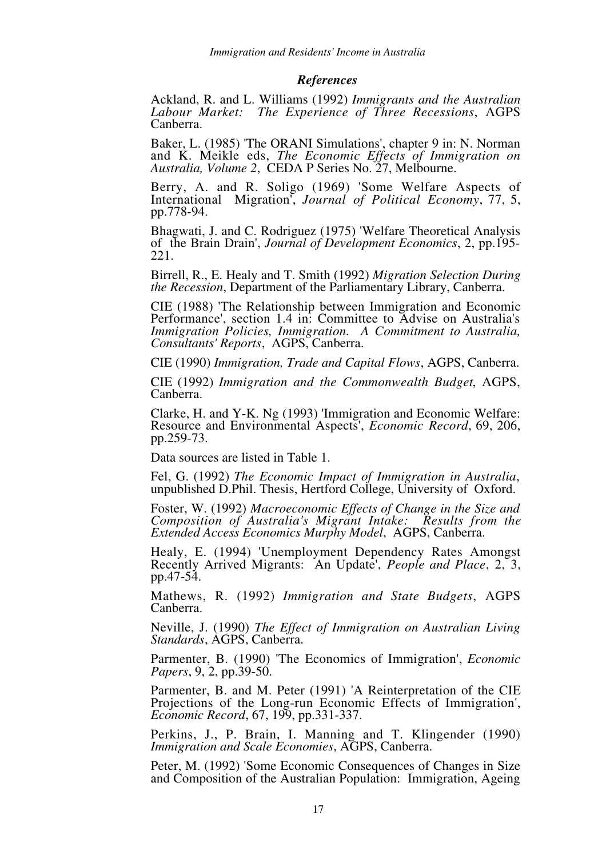# *References*

Ackland, R. and L. Williams (1992) *Immigrants and the Australian Labour Market: The Experience of Three Recessions*, AGPS Canberra.

Baker, L. (1985) 'The ORANI Simulations', chapter 9 in: N. Norman and K. Meikle eds, *The Economic Effects of Immigration on Australia, Volume 2*, CEDA P Series No. 27, Melbourne.

Berry, A. and R. Soligo (1969) 'Some Welfare Aspects of International Migration', *Journal of Political Economy*, 77, 5, pp.778-94.

Bhagwati, J. and C. Rodriguez (1975) 'Welfare Theoretical Analysis of the Brain Drain', *Journal of Development Economics*, 2, pp.195- 221.

Birrell, R., E. Healy and T. Smith (1992) *Migration Selection During the Recession*, Department of the Parliamentary Library, Canberra.

CIE (1988) 'The Relationship between Immigration and Economic Performance', section 1.4 in: Committee to Advise on Australia's *Immigration Policies, Immigration. A Commitment to Australia, Consultants' Reports*, AGPS, Canberra.

CIE (1990) *Immigration, Trade and Capital Flows*, AGPS, Canberra.

CIE (1992) *Immigration and the Commonwealth Budget*, AGPS, Canberra.

Clarke, H. and Y-K. Ng (1993) 'Immigration and Economic Welfare: Resource and Environmental Aspects', *Economic Record*, 69, 206, pp.259-73.

Data sources are listed in Table 1.

Fel, G. (1992) *The Economic Impact of Immigration in Australia*, unpublished D.Phil. Thesis, Hertford College, University of Oxford.

Foster, W. (1992) *Macroeconomic Effects of Change in the Size and Composition of Australia's Migrant Intake: Results from the Extended Access Economics Murphy Model*, AGPS, Canberra.

Healy, E. (1994) 'Unemployment Dependency Rates Amongst Recently Arrived Migrants: An Update', *People and Place*, 2, 3, pp.47-54.

Mathews, R. (1992) *Immigration and State Budgets*, AGPS Canberra.

Neville, J. (1990) *The Effect of Immigration on Australian Living Standards*, AGPS, Canberra.

Parmenter, B. (1990) 'The Economics of Immigration', *Economic Papers*, 9, 2, pp.39-50.

Parmenter, B. and M. Peter (1991) 'A Reinterpretation of the CIE Projections of the Long-run Economic Effects of Immigration', *Economic Record*, 67, 199, pp.331-337.

Perkins, J., P. Brain, I. Manning and T. Klingender (1990) *Immigration and Scale Economies*, AGPS, Canberra.

Peter, M. (1992) 'Some Economic Consequences of Changes in Size and Composition of the Australian Population: Immigration, Ageing